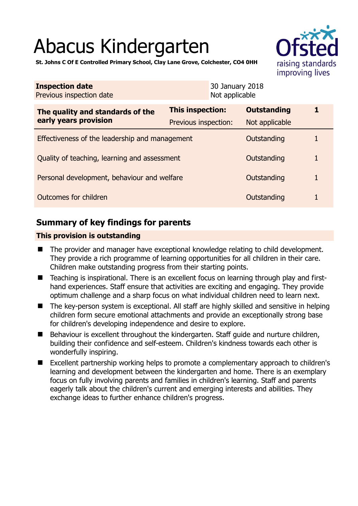# Abacus Kindergarten



**St. Johns C Of E Controlled Primary School, Clay Lane Grove, Colchester, CO4 0HH** 

| <b>Inspection date</b><br>Previous inspection date        | 30 January 2018<br>Not applicable |                    |   |
|-----------------------------------------------------------|-----------------------------------|--------------------|---|
| The quality and standards of the<br>early years provision | <b>This inspection:</b>           | <b>Outstanding</b> |   |
|                                                           | Previous inspection:              | Not applicable     |   |
| Effectiveness of the leadership and management            |                                   | Outstanding        |   |
| Quality of teaching, learning and assessment              |                                   | Outstanding        | 1 |
| Personal development, behaviour and welfare               |                                   | Outstanding        | 1 |
| Outcomes for children                                     |                                   | Outstanding        | 1 |

# **Summary of key findings for parents**

## **This provision is outstanding**

- The provider and manager have exceptional knowledge relating to child development. They provide a rich programme of learning opportunities for all children in their care. Children make outstanding progress from their starting points.
- Teaching is inspirational. There is an excellent focus on learning through play and firsthand experiences. Staff ensure that activities are exciting and engaging. They provide optimum challenge and a sharp focus on what individual children need to learn next.
- The key-person system is exceptional. All staff are highly skilled and sensitive in helping children form secure emotional attachments and provide an exceptionally strong base for children's developing independence and desire to explore.
- $\blacksquare$  Behaviour is excellent throughout the kindergarten. Staff guide and nurture children, building their confidence and self-esteem. Children's kindness towards each other is wonderfully inspiring.
- Excellent partnership working helps to promote a complementary approach to children's learning and development between the kindergarten and home. There is an exemplary focus on fully involving parents and families in children's learning. Staff and parents eagerly talk about the children's current and emerging interests and abilities. They exchange ideas to further enhance children's progress.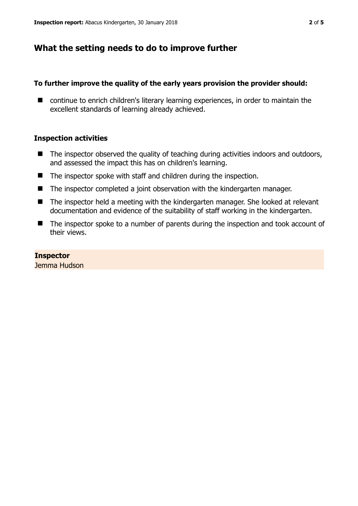## **What the setting needs to do to improve further**

#### **To further improve the quality of the early years provision the provider should:**

■ continue to enrich children's literary learning experiences, in order to maintain the excellent standards of learning already achieved.

#### **Inspection activities**

- $\blacksquare$  The inspector observed the quality of teaching during activities indoors and outdoors, and assessed the impact this has on children's learning.
- The inspector spoke with staff and children during the inspection.
- The inspector completed a joint observation with the kindergarten manager.
- The inspector held a meeting with the kindergarten manager. She looked at relevant documentation and evidence of the suitability of staff working in the kindergarten.
- The inspector spoke to a number of parents during the inspection and took account of their views.

#### **Inspector**

Jemma Hudson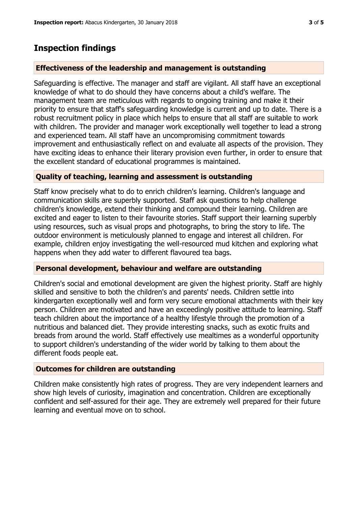# **Inspection findings**

## **Effectiveness of the leadership and management is outstanding**

Safeguarding is effective. The manager and staff are vigilant. All staff have an exceptional knowledge of what to do should they have concerns about a child's welfare. The management team are meticulous with regards to ongoing training and make it their priority to ensure that staff's safeguarding knowledge is current and up to date. There is a robust recruitment policy in place which helps to ensure that all staff are suitable to work with children. The provider and manager work exceptionally well together to lead a strong and experienced team. All staff have an uncompromising commitment towards improvement and enthusiastically reflect on and evaluate all aspects of the provision. They have exciting ideas to enhance their literary provision even further, in order to ensure that the excellent standard of educational programmes is maintained.

## **Quality of teaching, learning and assessment is outstanding**

Staff know precisely what to do to enrich children's learning. Children's language and communication skills are superbly supported. Staff ask questions to help challenge children's knowledge, extend their thinking and compound their learning. Children are excited and eager to listen to their favourite stories. Staff support their learning superbly using resources, such as visual props and photographs, to bring the story to life. The outdoor environment is meticulously planned to engage and interest all children. For example, children enjoy investigating the well-resourced mud kitchen and exploring what happens when they add water to different flavoured tea bags.

### **Personal development, behaviour and welfare are outstanding**

Children's social and emotional development are given the highest priority. Staff are highly skilled and sensitive to both the children's and parents' needs. Children settle into kindergarten exceptionally well and form very secure emotional attachments with their key person. Children are motivated and have an exceedingly positive attitude to learning. Staff teach children about the importance of a healthy lifestyle through the promotion of a nutritious and balanced diet. They provide interesting snacks, such as exotic fruits and breads from around the world. Staff effectively use mealtimes as a wonderful opportunity to support children's understanding of the wider world by talking to them about the different foods people eat.

### **Outcomes for children are outstanding**

Children make consistently high rates of progress. They are very independent learners and show high levels of curiosity, imagination and concentration. Children are exceptionally confident and self-assured for their age. They are extremely well prepared for their future learning and eventual move on to school.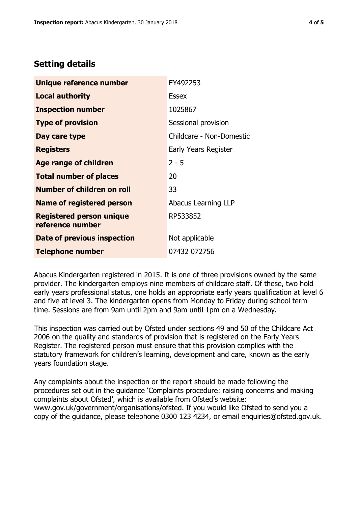## **Setting details**

| Unique reference number                             | EY492253                 |
|-----------------------------------------------------|--------------------------|
| Local authority                                     | <b>Essex</b>             |
| <b>Inspection number</b>                            | 1025867                  |
| <b>Type of provision</b>                            | Sessional provision      |
| Day care type                                       | Childcare - Non-Domestic |
| <b>Registers</b>                                    | Early Years Register     |
| <b>Age range of children</b>                        | $2 - 5$                  |
| <b>Total number of places</b>                       | 20                       |
| <b>Number of children on roll</b>                   | 33                       |
| Name of registered person                           | Abacus Learning LLP      |
| <b>Registered person unique</b><br>reference number | RP533852                 |
| Date of previous inspection                         | Not applicable           |
| <b>Telephone number</b>                             | 07432 072756             |

Abacus Kindergarten registered in 2015. It is one of three provisions owned by the same provider. The kindergarten employs nine members of childcare staff. Of these, two hold early years professional status, one holds an appropriate early years qualification at level 6 and five at level 3. The kindergarten opens from Monday to Friday during school term time. Sessions are from 9am until 2pm and 9am until 1pm on a Wednesday.

This inspection was carried out by Ofsted under sections 49 and 50 of the Childcare Act 2006 on the quality and standards of provision that is registered on the Early Years Register. The registered person must ensure that this provision complies with the statutory framework for children's learning, development and care, known as the early years foundation stage.

Any complaints about the inspection or the report should be made following the procedures set out in the guidance 'Complaints procedure: raising concerns and making complaints about Ofsted', which is available from Ofsted's website: www.gov.uk/government/organisations/ofsted. If you would like Ofsted to send you a copy of the guidance, please telephone 0300 123 4234, or email enquiries@ofsted.gov.uk.